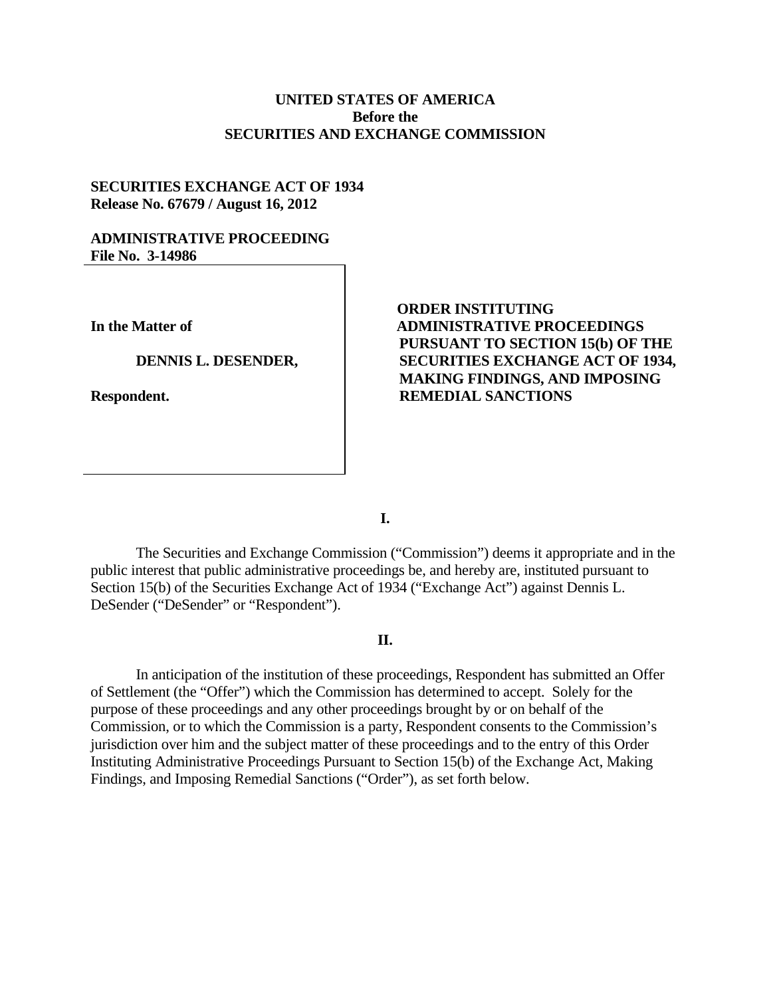# **UNITED STATES OF AMERICA Before the SECURITIES AND EXCHANGE COMMISSION**

# **SECURITIES EXCHANGE ACT OF 1934 Release No. 67679 / August 16, 2012**

### **ADMINISTRATIVE PROCEEDING File No. 3-14986**

**In the Matter of** 

#### **DENNIS L. DESENDER,**

**Respondent.** 

# **ORDER INSTITUTING ADMINISTRATIVE PROCEEDINGS PURSUANT TO SECTION 15(b) OF THE SECURITIES EXCHANGE ACT OF 1934, MAKING FINDINGS, AND IMPOSING REMEDIAL SANCTIONS**

**I.** 

The Securities and Exchange Commission ("Commission") deems it appropriate and in the public interest that public administrative proceedings be, and hereby are, instituted pursuant to Section 15(b) of the Securities Exchange Act of 1934 ("Exchange Act") against Dennis L. DeSender ("DeSender" or "Respondent").

## **II.**

In anticipation of the institution of these proceedings, Respondent has submitted an Offer of Settlement (the "Offer") which the Commission has determined to accept. Solely for the purpose of these proceedings and any other proceedings brought by or on behalf of the Commission, or to which the Commission is a party, Respondent consents to the Commission's jurisdiction over him and the subject matter of these proceedings and to the entry of this Order Instituting Administrative Proceedings Pursuant to Section 15(b) of the Exchange Act, Making Findings, and Imposing Remedial Sanctions ("Order"), as set forth below.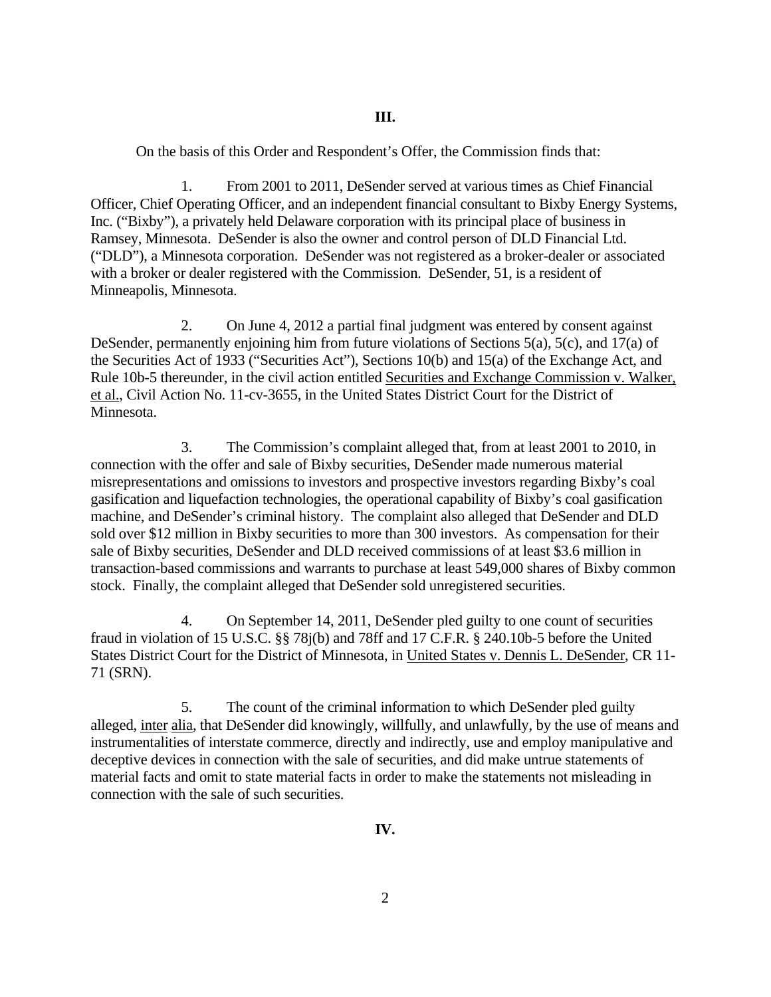On the basis of this Order and Respondent's Offer, the Commission finds that:

1. From 2001 to 2011, DeSender served at various times as Chief Financial Officer, Chief Operating Officer, and an independent financial consultant to Bixby Energy Systems, Inc. ("Bixby"), a privately held Delaware corporation with its principal place of business in Ramsey, Minnesota. DeSender is also the owner and control person of DLD Financial Ltd. ("DLD"), a Minnesota corporation. DeSender was not registered as a broker-dealer or associated with a broker or dealer registered with the Commission. DeSender, 51, is a resident of Minneapolis, Minnesota.

2. On June 4, 2012 a partial final judgment was entered by consent against DeSender, permanently enjoining him from future violations of Sections 5(a), 5(c), and 17(a) of the Securities Act of 1933 ("Securities Act"), Sections 10(b) and 15(a) of the Exchange Act, and Rule 10b-5 thereunder, in the civil action entitled Securities and Exchange Commission v. Walker, et al., Civil Action No. 11-cv-3655, in the United States District Court for the District of Minnesota.

3. The Commission's complaint alleged that, from at least 2001 to 2010, in connection with the offer and sale of Bixby securities, DeSender made numerous material misrepresentations and omissions to investors and prospective investors regarding Bixby's coal gasification and liquefaction technologies, the operational capability of Bixby's coal gasification machine, and DeSender's criminal history. The complaint also alleged that DeSender and DLD sold over \$12 million in Bixby securities to more than 300 investors. As compensation for their sale of Bixby securities, DeSender and DLD received commissions of at least \$3.6 million in transaction-based commissions and warrants to purchase at least 549,000 shares of Bixby common stock. Finally, the complaint alleged that DeSender sold unregistered securities.

4. On September 14, 2011, DeSender pled guilty to one count of securities fraud in violation of 15 U.S.C. §§ 78j(b) and 78ff and 17 C.F.R. § 240.10b-5 before the United States District Court for the District of Minnesota, in United States v. Dennis L. DeSender, CR 11- 71 (SRN).

5. The count of the criminal information to which DeSender pled guilty alleged, inter alia, that DeSender did knowingly, willfully, and unlawfully, by the use of means and instrumentalities of interstate commerce, directly and indirectly, use and employ manipulative and deceptive devices in connection with the sale of securities, and did make untrue statements of material facts and omit to state material facts in order to make the statements not misleading in connection with the sale of such securities.

**IV.**